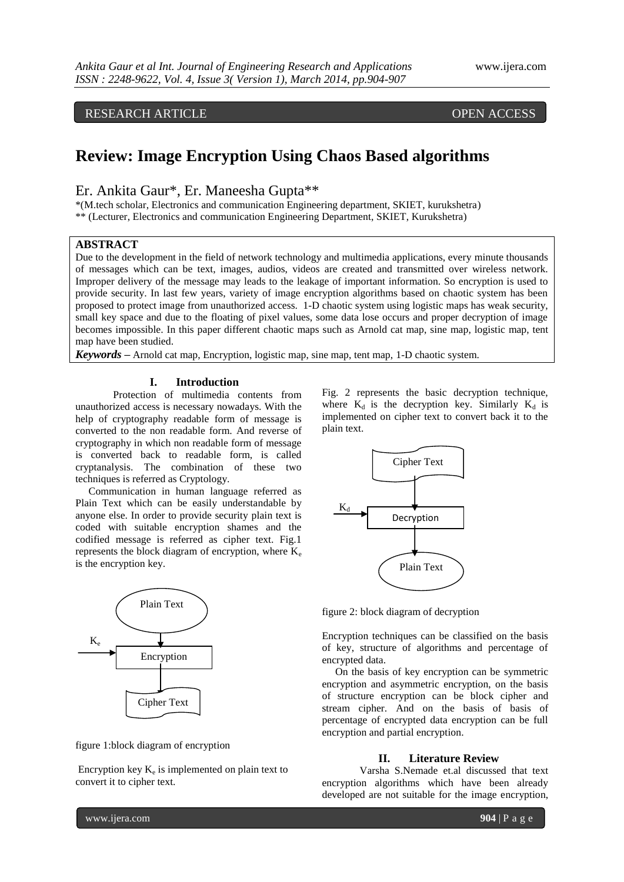# RESEARCH ARTICLE OPEN ACCESS

# **Review: Image Encryption Using Chaos Based algorithms**

## Er. Ankita Gaur\*, Er. Maneesha Gupta\*\*

\*(M.tech scholar, Electronics and communication Engineering department, SKIET, kurukshetra) \*\* (Lecturer, Electronics and communication Engineering Department, SKIET, Kurukshetra)

#### **ABSTRACT**

Due to the development in the field of network technology and multimedia applications, every minute thousands of messages which can be text, images, audios, videos are created and transmitted over wireless network. Improper delivery of the message may leads to the leakage of important information. So encryption is used to provide security. In last few years, variety of image encryption algorithms based on chaotic system has been proposed to protect image from unauthorized access. 1-D chaotic system using logistic maps has weak security, small key space and due to the floating of pixel values, some data lose occurs and proper decryption of image becomes impossible. In this paper different chaotic maps such as Arnold cat map, sine map, logistic map, tent map have been studied.

*Keywords* **–** Arnold cat map, Encryption, logistic map, sine map, tent map, 1-D chaotic system.

#### **I. Introduction**

Protection of multimedia contents from unauthorized access is necessary nowadays. With the help of cryptography readable form of message is converted to the non readable form. And reverse of cryptography in which non readable form of message is converted back to readable form, is called cryptanalysis. The combination of these two techniques is referred as Cryptology.

 Communication in human language referred as Plain Text which can be easily understandable by anyone else. In order to provide security plain text is coded with suitable encryption shames and the codified message is referred as cipher text. Fig.1 represents the block diagram of encryption, where  $K_e$ is the encryption key.



figure 1:block diagram of encryption

Encryption key  $K_e$  is implemented on plain text to convert it to cipher text.

Fig. 2 represents the basic decryption technique, where  $K_d$  is the decryption key. Similarly  $K_d$  is implemented on cipher text to convert back it to the plain text.



figure 2: block diagram of decryption

Encryption techniques can be classified on the basis of key, structure of algorithms and percentage of encrypted data.

 On the basis of key encryption can be symmetric encryption and asymmetric encryption, on the basis of structure encryption can be block cipher and stream cipher. And on the basis of basis of percentage of encrypted data encryption can be full encryption and partial encryption.

#### **II. Literature Review**

Varsha S.Nemade et.al discussed that text encryption algorithms which have been already developed are not suitable for the image encryption,

www.ijera.com **904** | P a g e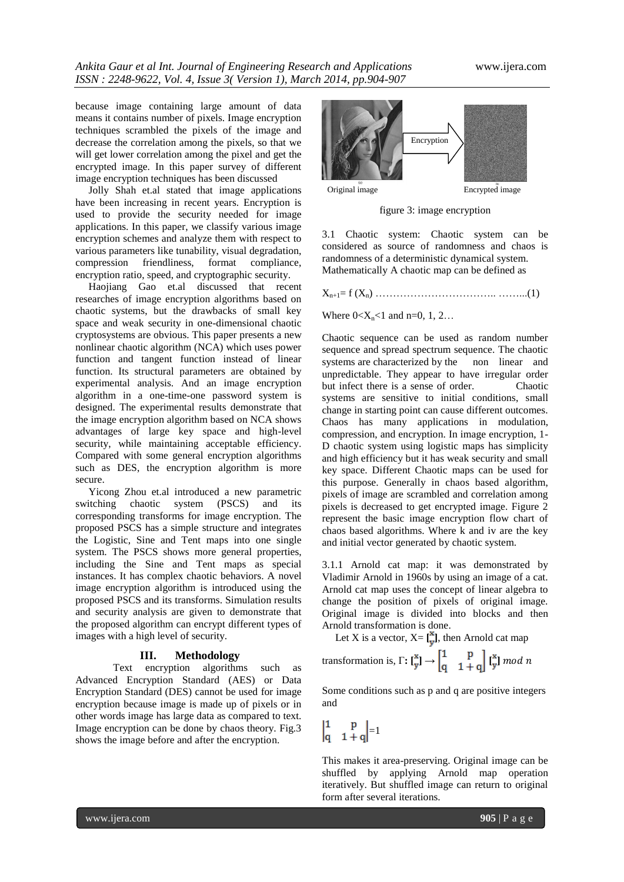because image containing large amount of data means it contains number of pixels. Image encryption techniques scrambled the pixels of the image and decrease the correlation among the pixels, so that we will get lower correlation among the pixel and get the encrypted image. In this paper survey of different image encryption techniques has been discussed

 Jolly Shah et.al stated that image applications have been increasing in recent years. Encryption is used to provide the security needed for image applications. In this paper, we classify various image encryption schemes and analyze them with respect to various parameters like tunability, visual degradation, compression friendliness, format compliance, encryption ratio, speed, and cryptographic security.

 Haojiang Gao et.al discussed that recent researches of image encryption algorithms based on chaotic systems, but the drawbacks of small key space and weak security in one-dimensional chaotic cryptosystems are obvious. This paper presents a new nonlinear chaotic algorithm (NCA) which uses power function and tangent function instead of linear function. Its structural parameters are obtained by experimental analysis. And an image encryption algorithm in a one-time-one password system is designed. The experimental results demonstrate that the image encryption algorithm based on NCA shows advantages of large key space and high-level security, while maintaining acceptable efficiency. Compared with some general encryption algorithms such as DES, the encryption algorithm is more secure.

 Yicong Zhou et.al introduced a new parametric switching chaotic system (PSCS) and its corresponding transforms for image encryption. The proposed PSCS has a simple structure and integrates the Logistic, Sine and Tent maps into one single system. The PSCS shows more general properties, including the Sine and Tent maps as special instances. It has complex chaotic behaviors. A novel image encryption algorithm is introduced using the proposed PSCS and its transforms. Simulation results and security analysis are given to demonstrate that the proposed algorithm can encrypt different types of images with a high level of security.

#### **III. Methodology**

Text encryption algorithms such as Advanced Encryption Standard (AES) or Data Encryption Standard (DES) cannot be used for image encryption because image is made up of pixels or in other words image has large data as compared to text. Image encryption can be done by chaos theory. Fig.3 shows the image before and after the encryption.



figure 3: image encryption

3.1 Chaotic system: Chaotic system can be considered as source of randomness and chaos is randomness of a deterministic dynamical system. Mathematically A chaotic map can be defined as

 $X_{n+1} = f(X_n) \dots (1)$ 

Where  $0 < X_n < 1$  and n=0, 1, 2...

Chaotic sequence can be used as random number sequence and spread spectrum sequence. The chaotic systems are characterized by the non linear and unpredictable. They appear to have irregular order but infect there is a sense of order. Chaotic systems are sensitive to initial conditions, small change in starting point can cause different outcomes. Chaos has many applications in modulation, compression, and encryption. In image encryption, 1- D chaotic system using logistic maps has simplicity and high efficiency but it has weak security and small key space. Different Chaotic maps can be used for this purpose. Generally in chaos based algorithm, pixels of image are scrambled and correlation among pixels is decreased to get encrypted image. Figure 2 represent the basic image encryption flow chart of chaos based algorithms. Where k and iv are the key and initial vector generated by chaotic system.

3.1.1 Arnold cat map: it was demonstrated by Vladimir Arnold in 1960s by using an image of a cat. Arnold cat map uses the concept of linear algebra to change the position of pixels of original image. Original image is divided into blocks and then Arnold transformation is done.

Let X is a vector,  $X = \begin{bmatrix} x \\ y \end{bmatrix}$ , then Arnold cat map

transformation is, 
$$
\Gamma: \begin{bmatrix} x \\ y \end{bmatrix} \rightarrow \begin{bmatrix} 1 & p \\ q & 1+q \end{bmatrix} \begin{bmatrix} x \\ y \end{bmatrix} mod n
$$

Some conditions such as p and q are positive integers and

 $\begin{vmatrix} 1 & p \\ q & 1+q \end{vmatrix} = 1$ 

This makes it area-preserving. Original image can be shuffled by applying Arnold map operation iteratively. But shuffled image can return to original form after several iterations.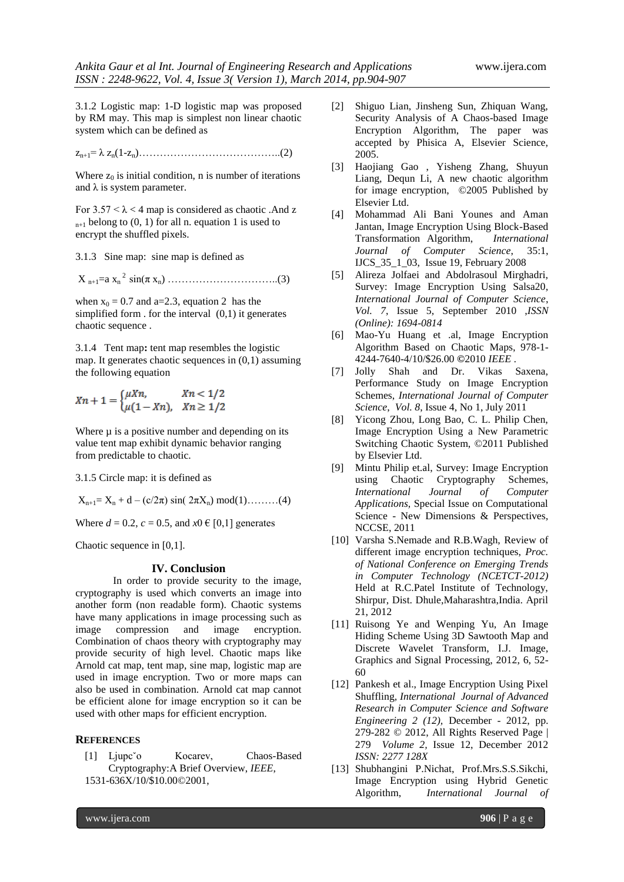3.1.2 Logistic map: 1-D logistic map was proposed by RM may. This map is simplest non linear chaotic system which can be defined as

zn+1= λ zn(1-zn)…………………………………..(2)

Where  $z_0$  is initial condition, n is number of iterations and  $\lambda$  is system parameter.

For  $3.57 < \lambda < 4$  map is considered as chaotic . And z  $_{n+1}$  belong to (0, 1) for all n. equation 1 is used to encrypt the shuffled pixels.

3.1.3 Sine map: sine map is defined as

X n+1=a x<sup>n</sup> <sup>2</sup>sin(π xn) …………………………..(3)

when  $x_0 = 0.7$  and a=2.3, equation 2 has the simplified form . for the interval (0,1) it generates chaotic sequence .

3.1.4 Tent map**:** tent map resembles the logistic map. It generates chaotic sequences in  $(0,1)$  assuming the following equation

$$
Xn + 1 = \begin{cases} \mu Xn, & Xn < 1/2 \\ \mu(1 - Xn), & Xn \ge 1/2 \end{cases}
$$

Where  $\mu$  is a positive number and depending on its value tent map exhibit dynamic behavior ranging from predictable to chaotic.

3.1.5 Circle map: it is defined as

$$
X_{n+1} = X_n + d - (c/2\pi) \, \sin(\, 2\pi X_n) \, \bmod(1) \dots \dots \dots (4)
$$

Where  $d = 0.2$ ,  $c = 0.5$ , and  $x0 \in [0,1]$  generates

Chaotic sequence in [0,1].

### **IV. Conclusion**

In order to provide security to the image, cryptography is used which converts an image into another form (non readable form). Chaotic systems have many applications in image processing such as image compression and image encryption. Combination of chaos theory with cryptography may provide security of high level. Chaotic maps like Arnold cat map, tent map, sine map, logistic map are used in image encryption. Two or more maps can also be used in combination. Arnold cat map cannot be efficient alone for image encryption so it can be used with other maps for efficient encryption.

#### **REFERENCES**

[1] Ljupc<sup>\*</sup>o Kocarev, Chaos-Based Cryptography:A Brief Overview, *IEEE*, 1531-636X/10/\$10.00©2001,

- [2] Shiguo Lian, Jinsheng Sun, Zhiquan Wang, Security Analysis of A Chaos-based Image Encryption Algorithm, The paper was accepted by Phisica A, Elsevier Science, 2005.
- [3] Haojiang Gao , Yisheng Zhang, Shuyun Liang, Dequn Li, A new chaotic algorithm for image encryption, ©2005 Published by Elsevier Ltd.
- [4] Mohammad Ali Bani Younes and Aman Jantan, Image Encryption Using Block-Based Transformation Algorithm, *International Journal of Computer Science*, 35:1, IJCS\_35\_1\_03, Issue 19, February 2008
- [5] Alireza Jolfaei and Abdolrasoul Mirghadri, Survey: Image Encryption Using Salsa20, *International Journal of Computer Science*, *Vol. 7*, Issue 5, September 2010 ,*ISSN (Online): 1694-0814*
- [6] Mao-Yu Huang et .al, Image Encryption Algorithm Based on Chaotic Maps, 978-1- 4244-7640-4/10/\$26.00 **©**2010 *IEEE* .
- [7] Jolly Shah and Dr. Vikas Saxena, Performance Study on Image Encryption Schemes, *International Journal of Computer Science*, *Vol. 8*, Issue 4, No 1, July 2011
- [8] Yicong Zhou, Long Bao, C. L. Philip Chen, Image Encryption Using a New Parametric Switching Chaotic System, ©2011 Published by Elsevier Ltd.
- [9] Mintu Philip et.al, Survey: Image Encryption using Chaotic Cryptography Schemes, *International Journal of Computer Applications,* Special Issue on Computational Science - New Dimensions & Perspectives, NCCSE, 2011
- [10] Varsha S.Nemade and R.B.Wagh, Review of different image encryption techniques, *Proc. of National Conference on Emerging Trends in Computer Technology (NCETCT-2012)* Held at R.C.Patel Institute of Technology, Shirpur, Dist. Dhule,Maharashtra,India. April 21, 2012
- [11] Ruisong Ye and Wenping Yu, An Image Hiding Scheme Using 3D Sawtooth Map and Discrete Wavelet Transform, I.J. Image, Graphics and Signal Processing, 2012, 6, 52- 60
- [12] Pankesh et al., Image Encryption Using Pixel Shuffling, *International Journal of Advanced Research in Computer Science and Software Engineering 2 (12),* December - 2012, pp. 279-282 © 2012, All Rights Reserved Page | 279 *Volume 2,* Issue 12, December 2012 *ISSN: 2277 128X*
- [13] Shubhangini P.Nichat, Prof.Mrs.S.S.Sikchi, Image Encryption using Hybrid Genetic Algorithm, *International Journal of*